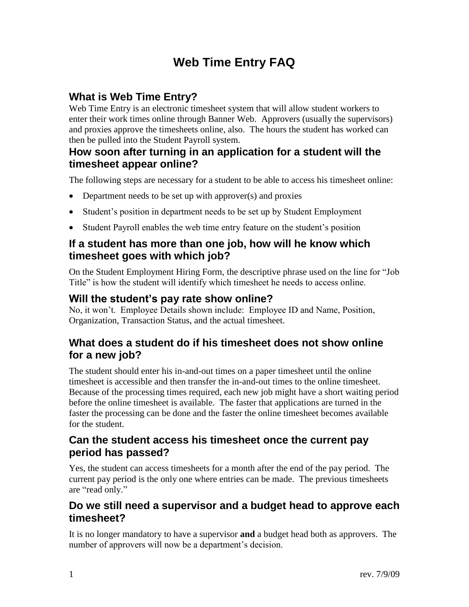# **Web Time Entry FAQ**

# **What is Web Time Entry?**

Web Time Entry is an electronic timesheet system that will allow student workers to enter their work times online through Banner Web. Approvers (usually the supervisors) and proxies approve the timesheets online, also. The hours the student has worked can then be pulled into the Student Payroll system.

#### **How soon after turning in an application for a student will the timesheet appear online?**

The following steps are necessary for a student to be able to access his timesheet online:

- Department needs to be set up with approver(s) and proxies
- Student's position in department needs to be set up by Student Employment
- Student Payroll enables the web time entry feature on the student's position

#### **If a student has more than one job, how will he know which timesheet goes with which job?**

On the Student Employment Hiring Form, the descriptive phrase used on the line for "Job Title" is how the student will identify which timesheet he needs to access online.

## **Will the student's pay rate show online?**

No, it won't. Employee Details shown include: Employee ID and Name, Position, Organization, Transaction Status, and the actual timesheet.

## **What does a student do if his timesheet does not show online for a new job?**

The student should enter his in-and-out times on a paper timesheet until the online timesheet is accessible and then transfer the in-and-out times to the online timesheet. Because of the processing times required, each new job might have a short waiting period before the online timesheet is available. The faster that applications are turned in the faster the processing can be done and the faster the online timesheet becomes available for the student.

## **Can the student access his timesheet once the current pay period has passed?**

Yes, the student can access timesheets for a month after the end of the pay period. The current pay period is the only one where entries can be made. The previous timesheets are "read only."

## **Do we still need a supervisor and a budget head to approve each timesheet?**

It is no longer mandatory to have a supervisor **and** a budget head both as approvers. The number of approvers will now be a department's decision.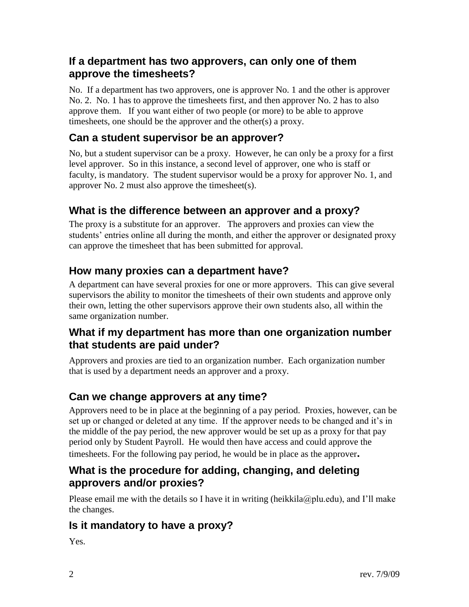## **If a department has two approvers, can only one of them approve the timesheets?**

No. If a department has two approvers, one is approver No. 1 and the other is approver No. 2. No. 1 has to approve the timesheets first, and then approver No. 2 has to also approve them. If you want either of two people (or more) to be able to approve timesheets, one should be the approver and the other(s) a proxy.

## **Can a student supervisor be an approver?**

No, but a student supervisor can be a proxy. However, he can only be a proxy for a first level approver. So in this instance, a second level of approver, one who is staff or faculty, is mandatory. The student supervisor would be a proxy for approver No. 1, and approver No. 2 must also approve the timesheet(s).

## **What is the difference between an approver and a proxy?**

The proxy is a substitute for an approver. The approvers and proxies can view the students' entries online all during the month, and either the approver or designated proxy can approve the timesheet that has been submitted for approval.

## **How many proxies can a department have?**

A department can have several proxies for one or more approvers. This can give several supervisors the ability to monitor the timesheets of their own students and approve only their own, letting the other supervisors approve their own students also, all within the same organization number.

## **What if my department has more than one organization number that students are paid under?**

Approvers and proxies are tied to an organization number. Each organization number that is used by a department needs an approver and a proxy.

## **Can we change approvers at any time?**

Approvers need to be in place at the beginning of a pay period. Proxies, however, can be set up or changed or deleted at any time. If the approver needs to be changed and it's in the middle of the pay period, the new approver would be set up as a proxy for that pay period only by Student Payroll. He would then have access and could approve the timesheets. For the following pay period, he would be in place as the approver**.**

## **What is the procedure for adding, changing, and deleting approvers and/or proxies?**

Please email me with the details so I have it in writing (heikkila@plu.edu), and I'll make the changes.

## **Is it mandatory to have a proxy?**

Yes.